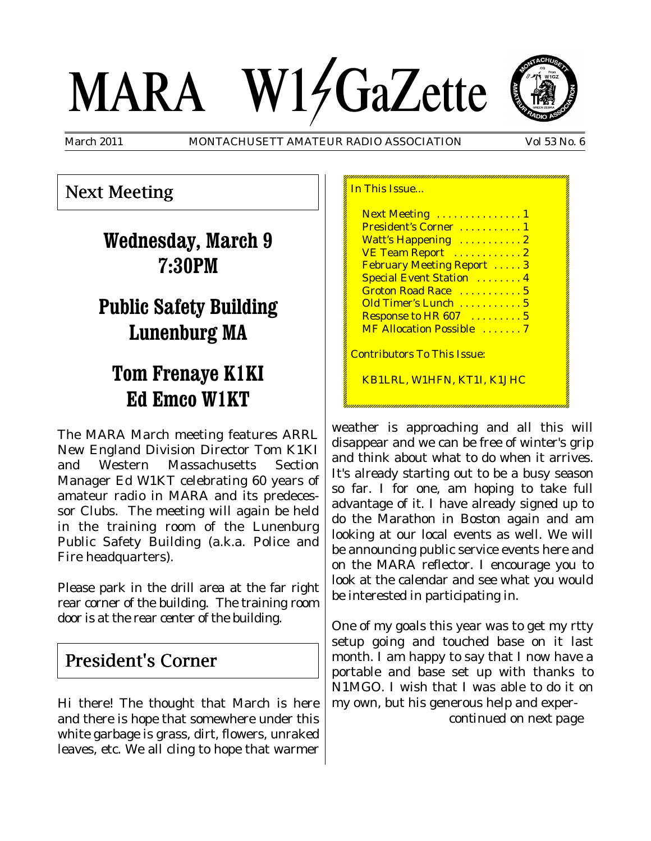# MARA W14GaZette



March 2011 MONTACHUSETT AMATEUR RADIO ASSOCIATION Vol 53 No. 6

## Next Meeting

# **Wednesday, March 9 7:30PM**

# **Public Safety Building Lunenburg MA**

# **Tom Frenaye K1KI Ed Emco W1KT**

The MARA March meeting features ARRL New England Division Director Tom K1KI and Western Massachusetts Section Manager Ed W1KT celebrating 60 years of amateur radio in MARA and its predecessor Clubs. The meeting will again be held in the training room of the Lunenburg Public Safety Building (a.k.a. Police and Fire headquarters).

Please park in the drill area at the far right rear corner of the building. The training room door is at the rear center of the building.

## President's Corner

Hi there! The thought that March is here and there is hope that somewhere under this white garbage is grass, dirt, flowers, unraked leaves, etc. We all cling to hope that warmer

| In This Issue                       |
|-------------------------------------|
| Next Meeting  1                     |
| President's Corner  1               |
| Watt's Happening  2                 |
| VE Team Report  2                   |
| <b>February Meeting Report 3</b>    |
| <b>Special Event Station  4</b>     |
| Groton Road Race  5                 |
| Old Timer's Lunch  5                |
| Response to HR 607  5               |
| MF Allocation Possible  7           |
| <u> Contributors To This Issue:</u> |
| KB1LRL, W1HFN, KT1I, K1JHC          |

weather is approaching and all this will disappear and we can be free of winter's grip and think about what to do when it arrives. It's already starting out to be a busy season so far. I for one, am hoping to take full advantage of it. I have already signed up to do the Marathon in Boston again and am looking at our local events as well. We will be announcing public service events here and on the MARA reflector. I encourage you to look at the calendar and see what you would be interested in participating in.

One of my goals this year was to get my rtty setup going and touched base on it last month. I am happy to say that I now have a portable and base set up with thanks to N1MGO. I wish that I was able to do it on my own, but his generous help and exper*-*

*continued on next page*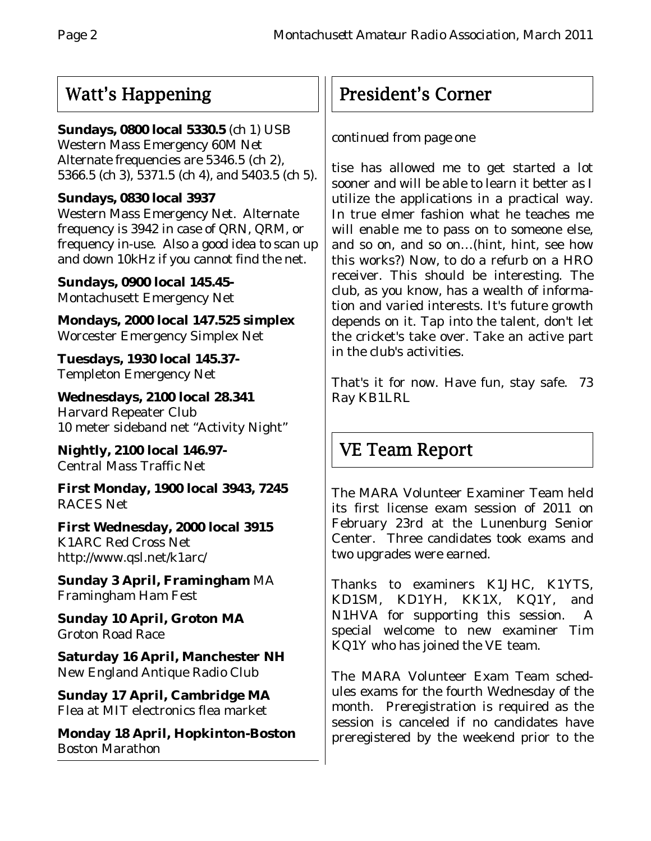## Watt's Happening

## **Sundays, 0800 local 5330.5** (ch 1) USB

Western Mass Emergency 60M Net Alternate frequencies are 5346.5 (ch 2), 5366.5 (ch 3), 5371.5 (ch 4), and 5403.5 (ch 5).

## **Sundays, 0830 local 3937**

Western Mass Emergency Net. Alternate frequency is 3942 in case of QRN, QRM, or frequency in-use. Also a good idea to scan up and down 10kHz if you cannot find the net.

**Sundays, 0900 local 145.45-** Montachusett Emergency Net

**Mondays, 2000 local 147.525 simplex** Worcester Emergency Simplex Net

**Tuesdays, 1930 local 145.37-** Templeton Emergency Net

**Wednesdays, 2100 local 28.341** Harvard Repeater Club 10 meter sideband net "Activity Night"

**Nightly, 2100 local 146.97-** Central Mass Traffic Net

**First Monday, 1900 local 3943, 7245** RACES Net

**First Wednesday, 2000 local 3915** K1ARC Red Cross Net http://www.qsl.net/k1arc/

**Sunday 3 April, Framingham** MA Framingham Ham Fest

**Sunday 10 April, Groton MA** Groton Road Race

**Saturday 16 April, Manchester NH** New England Antique Radio Club

**Sunday 17 April, Cambridge MA** Flea at MIT electronics flea market

**Monday 18 April, Hopkinton-Boston** Boston Marathon

# President's Corner

## *continued from page one*

tise has allowed me to get started a lot sooner and will be able to learn it better as I utilize the applications in a practical way. In true elmer fashion what he teaches me will enable me to pass on to someone else, and so on, and so on…(hint, hint, see how this works?) Now, to do a refurb on a HRO receiver. This should be interesting. The club, as you know, has a wealth of information and varied interests. It's future growth depends on it. Tap into the talent, don't let the cricket's take over. Take an active part in the club's activities.

That's it for now. Have fun, stay safe. 73 Ray KB1LRL

# VE Team Report

The MARA Volunteer Examiner Team held its first license exam session of 2011 on February 23rd at the Lunenburg Senior Center. Three candidates took exams and two upgrades were earned.

Thanks to examiners K1JHC, K1YTS, KD1SM, KD1YH, KK1X, KQ1Y, and N1HVA for supporting this session. A special welcome to new examiner Tim KQ1Y who has joined the VE team.

The MARA Volunteer Exam Team schedules exams for the fourth Wednesday of the month. Preregistration is required as the session is canceled if no candidates have preregistered by the weekend prior to the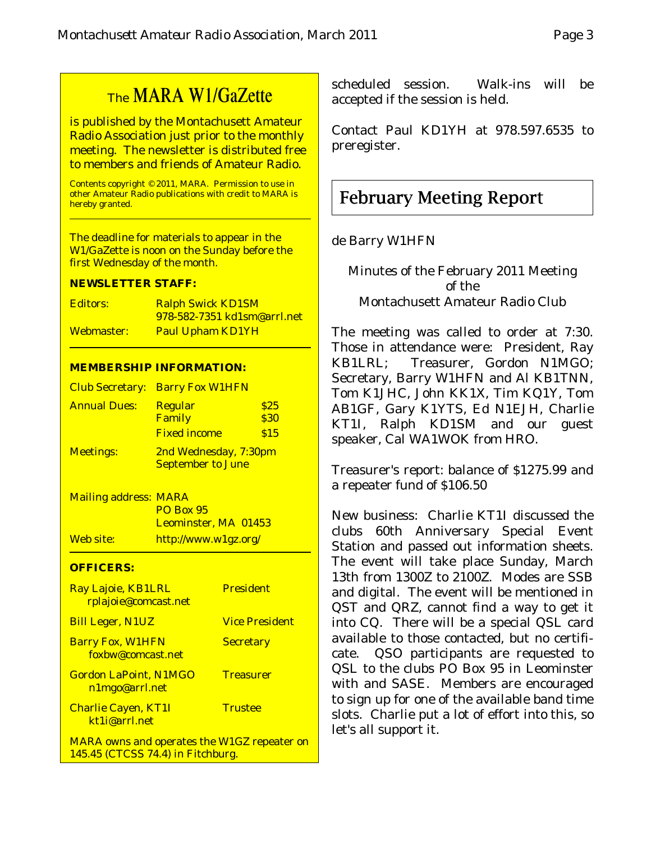# The MARA W1/GaZette

is published by the Montachusett Amateur Radio Association just prior to the monthly meeting. The newsletter is distributed free to members and friends of Amateur Radio.

Contents copyright © 2011, MARA. Permission to use in other Amateur Radio publications with credit to MARA is hereby granted.

The deadline for materials to appear in the W1/GaZette is noon on the Sunday before the first Wednesday of the month.

#### **NEWSLETTER STAFF:**

| Editors:   | <b>Ralph Swick KD1SM</b>            |
|------------|-------------------------------------|
|            | <u>978-582-7351 kd1sm@arrl.net_</u> |
| Webmaster: | <b>Paul Upham KD1YH</b>             |

#### **MEMBERSHIP INFORMATION:**

|                     | <b>Club Secretary: Barry Fox W1HFN</b>            |                     |
|---------------------|---------------------------------------------------|---------------------|
| <b>Annual Dues:</b> | <b>Regular</b><br>Family                          | \$25<br><b>\$30</b> |
|                     | <b>Fixed income</b>                               | \$15                |
| <b>Meetings:</b>    | 2nd Wednesday, 7:30pm<br><b>September to June</b> |                     |

Mailing address: MARA PO Box 95 Leominster, MA 01453 Web site: http://www.w1gz.org/

#### **OFFICERS:**

| Ray Lajoie, KB1LRL<br>rplajoie@comcast.net         | <b>President</b>      |
|----------------------------------------------------|-----------------------|
| <b>Bill Leger, N1UZ</b>                            | <b>Vice President</b> |
| <b>Barry Fox, W1HFN</b><br>foxbw@comcast.net       | <b>Secretary</b>      |
| <b>Gordon LaPoint, N1MGO</b><br>n1mgo@arrl.net     | <b>Treasurer</b>      |
| <b>Charlie Cayen, KT1I</b><br>kt1i@arrl.net        | <b>Trustee</b>        |
| <b>MARA</b> owns and operates the W1GZ repeater on |                       |

145.45 (CTCSS 74.4) in Fitchburg.

scheduled session. Walk-ins will be accepted if the session is held.

Contact Paul KD1YH at 978.597.6535 to preregister.

## February Meeting Report

#### de Barry W1HFN

Minutes of the February 2011 Meeting of the Montachusett Amateur Radio Club

The meeting was called to order at 7:30. Those in attendance were: President, Ray KB1LRL; Treasurer, Gordon N1MGO; Secretary, Barry W1HFN and Al KB1TNN, Tom K1JHC, John KK1X, Tim KQ1Y, Tom AB1GF, Gary K1YTS, Ed N1EJH, Charlie KT1I, Ralph KD1SM and our guest speaker, Cal WA1WOK from HRO.

Treasurer's report: balance of \$1275.99 and a repeater fund of \$106.50

New business: Charlie KT1I discussed the clubs 60th Anniversary Special Event Station and passed out information sheets. The event will take place Sunday, March 13th from 1300Z to 2100Z. Modes are SSB and digital. The event will be mentioned in QST and QRZ, cannot find a way to get it into CQ. There will be a special QSL card available to those contacted, but no certificate. QSO participants are requested to QSL to the clubs PO Box 95 in Leominster with and SASE. Members are encouraged to sign up for one of the available band time slots. Charlie put a lot of effort into this, so let's all support it.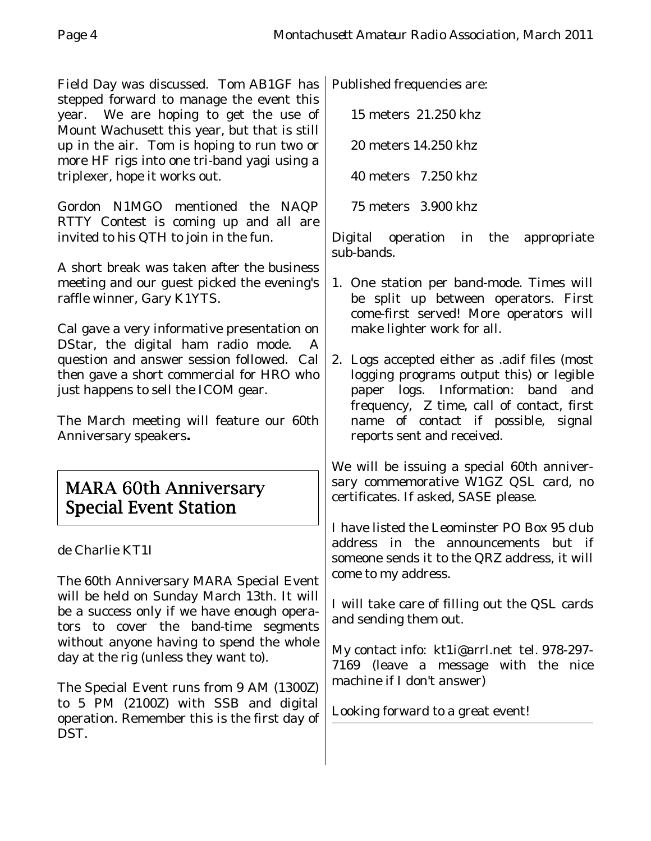Field Day was discussed. Tom AB1GF has stepped forward to manage the event this year. We are hoping to get the use of Mount Wachusett this year, but that is still up in the air. Tom is hoping to run two or more HF rigs into one tri-band yagi using a triplexer, hope it works out.

Gordon N1MGO mentioned the NAQP RTTY Contest is coming up and all are invited to his QTH to join in the fun.

A short break was taken after the business meeting and our guest picked the evening's raffle winner, Gary K1YTS.

Cal gave a very informative presentation on DStar, the digital ham radio mode. question and answer session followed. Cal then gave a short commercial for HRO who just happens to sell the ICOM gear.

The March meeting will feature our 60th Anniversary speakers**.**

## MARA 60th Anniversary Special Event Station

de Charlie KT1I

The 60th Anniversary MARA Special Event will be held on Sunday March 13th. It will be a success only if we have enough operators to cover the band-time segments without anyone having to spend the whole day at the rig (unless they want to).

The Special Event runs from 9 AM (1300Z) to 5 PM (2100Z) with SSB and digital operation. Remember this is the first day of DST.

Published frequencies are:

15 meters 21.250 khz

20 meters 14.250 khz

40 meters 7.250 khz

75 meters 3.900 khz

Digital operation in the appropriate sub-bands.

- 1. One station per band-mode. Times will be split up between operators. First come-first served! More operators will make lighter work for all.
- 2. Logs accepted either as .adif files (most logging programs output this) or legible paper logs. Information: band and frequency, Z time, call of contact, first name of contact if possible, signal reports sent and received.

We will be issuing a special 60th anniversary commemorative W1GZ QSL card, no certificates. If asked, SASE please.

I have listed the Leominster PO Box 95 club address in the announcements but if someone sends it to the QRZ address, it will come to my address.

I will take care of filling out the QSL cards and sending them out.

My contact info: kt1i@arrl.net tel. 978-297- 7169 (leave a message with the nice machine if I don't answer)

Looking forward to a great event!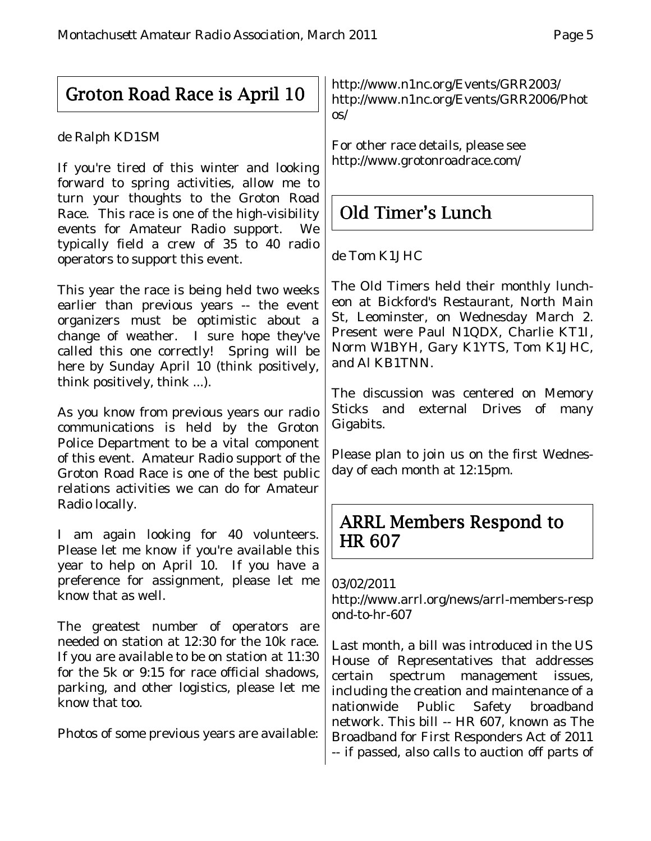# Groton Road Race is April 10

## de Ralph KD1SM

If you're tired of this winter and looking forward to spring activities, allow me to turn your thoughts to the Groton Road Race. This race is one of the high-visibility events for Amateur Radio support. We typically field a crew of 35 to 40 radio operators to support this event.

This year the race is being held two weeks earlier than previous years -- the event organizers must be optimistic about a change of weather. I sure hope they've called this one correctly! Spring will be here by Sunday April 10 (think positively, think positively, think ...).

As you know from previous years our radio communications is held by the Groton Police Department to be a vital component of this event. Amateur Radio support of the Groton Road Race is one of the best public relations activities we can do for Amateur Radio locally.

I am again looking for 40 volunteers. Please let me know if you're available this year to help on April 10. If you have a preference for assignment, please let me know that as well.

The greatest number of operators are needed on station at 12:30 for the 10k race. If you are available to be on station at 11:30 for the 5k or 9:15 for race official shadows, parking, and other logistics, please let me know that too.

Photos of some previous years are available:

http://www.n1nc.org/Events/GRR2003/ http://www.n1nc.org/Events/GRR2006/Phot os/

For other race details, please see http://www.grotonroadrace.com/

# Old Timer's Lunch

## de Tom K1JHC

The Old Timers held their monthly luncheon at Bickford's Restaurant, North Main St, Leominster, on Wednesday March 2. Present were Paul N1QDX, Charlie KT1I, Norm W1BYH, Gary K1YTS, Tom K1JHC, and Al KB1TNN.

The discussion was centered on Memory Sticks and external Drives of many Gigabits.

Please plan to join us on the first Wednesday of each month at 12:15pm.

## ARRL Members Respond to HR 607

## 03/02/2011

http://www.arrl.org/news/arrl-members-resp ond-to-hr-607

Last month, a bill was introduced in the US House of Representatives that addresses certain spectrum management issues, including the creation and maintenance of a nationwide Public Safety broadband network. This bill -- HR 607, known as The Broadband for First Responders Act of 2011 -- if passed, also calls to auction off parts of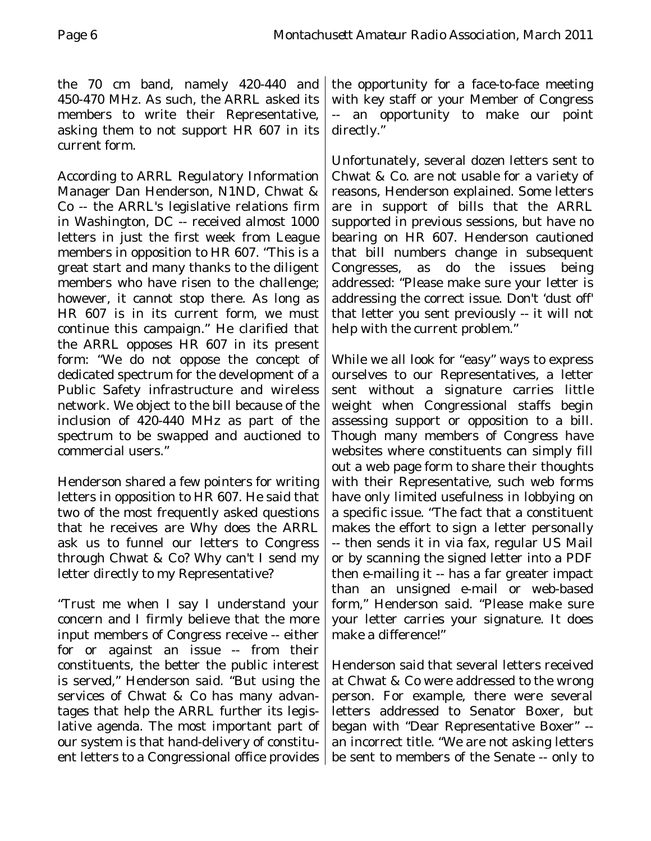the 70 cm band, namely 420-440 and 450-470 MHz. As such, the ARRL asked its members to write their Representative, asking them to not support HR 607 in its current form.

According to ARRL Regulatory Information Manager Dan Henderson, N1ND, Chwat & Co -- the ARRL's legislative relations firm in Washington, DC -- received almost 1000 letters in just the first week from League members in opposition to HR 607. "This is a great start and many thanks to the diligent members who have risen to the challenge; however, it cannot stop there. As long as HR 607 is in its current form, we must continue this campaign." He clarified that the ARRL opposes HR 607 in its present form: "We do not oppose the concept of dedicated spectrum for the development of a Public Safety infrastructure and wireless network. We object to the bill because of the inclusion of 420-440 MHz as part of the spectrum to be swapped and auctioned to commercial users."

Henderson shared a few pointers for writing letters in opposition to HR 607. He said that two of the most frequently asked questions that he receives are Why does the ARRL ask us to funnel our letters to Congress through Chwat & Co? Why can't I send my letter directly to my Representative?

"Trust me when I say I understand your concern and I firmly believe that the more input members of Congress receive -- either for or against an issue -- from their constituents, the better the public interest is served," Henderson said. "But using the services of Chwat & Co has many advantages that help the ARRL further its legislative agenda. The most important part of our system is that hand-delivery of constituent letters to a Congressional office provides

the opportunity for a face-to-face meeting with key staff or your Member of Congress -- an opportunity to make our point directly."

Unfortunately, several dozen letters sent to Chwat & Co. are not usable for a variety of reasons, Henderson explained. Some letters are in support of bills that the ARRL supported in previous sessions, but have no bearing on HR 607. Henderson cautioned that bill numbers change in subsequent Congresses, as do the issues being addressed: "Please make sure your letter is addressing the correct issue. Don't 'dust off' that letter you sent previously -- it will not help with the current problem."

While we all look for "easy" ways to express ourselves to our Representatives, a letter sent without a signature carries little weight when Congressional staffs begin assessing support or opposition to a bill. Though many members of Congress have websites where constituents can simply fill out a web page form to share their thoughts with their Representative, such web forms have only limited usefulness in lobbying on a specific issue. "The fact that a constituent makes the effort to sign a letter personally -- then sends it in via fax, regular US Mail or by scanning the signed letter into a PDF then e-mailing it -- has a far greater impact than an unsigned e-mail or web-based form," Henderson said. "Please make sure your letter carries your signature. It does make a difference!"

Henderson said that several letters received at Chwat & Co were addressed to the wrong person. For example, there were several letters addressed to Senator Boxer, but began with "Dear Representative Boxer" - an incorrect title. "We are not asking letters be sent to members of the Senate -- only to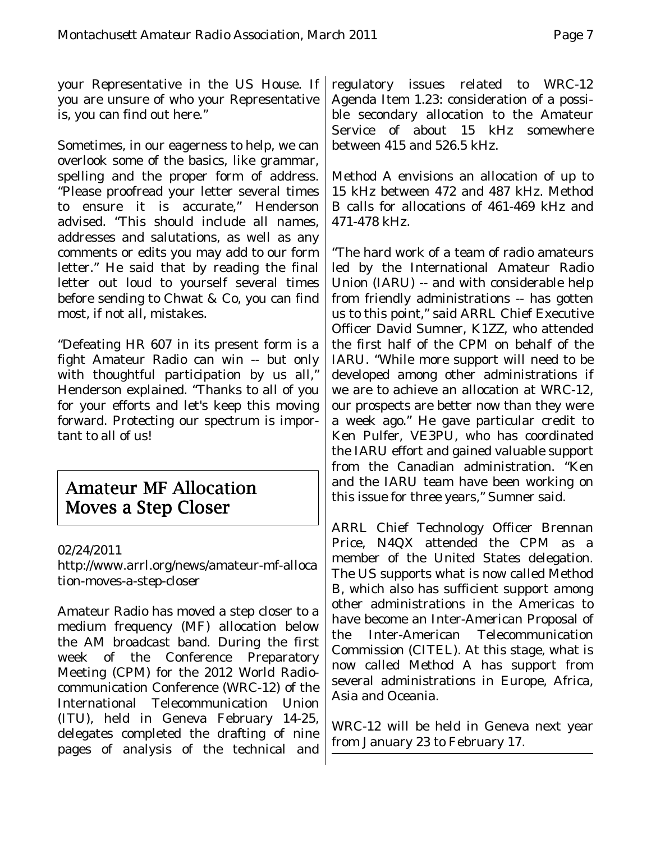your Representative in the US House. If you are unsure of who your Representative is, you can find out here."

Sometimes, in our eagerness to help, we can overlook some of the basics, like grammar, spelling and the proper form of address. "Please proofread your letter several times to ensure it is accurate," Henderson advised. "This should include all names, addresses and salutations, as well as any comments or edits you may add to our form letter." He said that by reading the final letter out loud to yourself several times before sending to Chwat & Co, you can find most, if not all, mistakes.

"Defeating HR 607 in its present form is a fight Amateur Radio can win -- but only with thoughtful participation by us all," Henderson explained. "Thanks to all of you for your efforts and let's keep this moving forward. Protecting our spectrum is important to all of us!

## **Amateur MF Allocation** Moves a Step Closer

## 02/24/2011

http://www.arrl.org/news/amateur-mf-alloca tion-moves-a-step-closer

Amateur Radio has moved a step closer to a medium frequency (MF) allocation below the AM broadcast band. During the first week of the Conference Preparatory Meeting (CPM) for the 2012 World Radiocommunication Conference (WRC-12) of the International Telecommunication Union (ITU), held in Geneva February 14-25, delegates completed the drafting of nine pages of analysis of the technical and regulatory issues related to WRC-12 Agenda Item 1.23: consideration of a possible secondary allocation to the Amateur Service of about 15 kHz somewhere between 415 and 526.5 kHz.

Method A envisions an allocation of up to 15 kHz between 472 and 487 kHz. Method B calls for allocations of 461-469 kHz and 471-478 kHz.

"The hard work of a team of radio amateurs led by the International Amateur Radio Union (IARU) -- and with considerable help from friendly administrations -- has gotten us to this point," said ARRL Chief Executive Officer David Sumner, K1ZZ, who attended the first half of the CPM on behalf of the IARU. "While more support will need to be developed among other administrations if we are to achieve an allocation at WRC-12, our prospects are better now than they were a week ago." He gave particular credit to Ken Pulfer, VE3PU, who has coordinated the IARU effort and gained valuable support from the Canadian administration. "Ken and the IARU team have been working on this issue for three years," Sumner said.

ARRL Chief Technology Officer Brennan Price, N4QX attended the CPM as a member of the United States delegation. The US supports what is now called Method B, which also has sufficient support among other administrations in the Americas to have become an Inter-American Proposal of the Inter-American Telecommunication Commission (CITEL). At this stage, what is now called Method A has support from several administrations in Europe, Africa, Asia and Oceania.

WRC-12 will be held in Geneva next year from January 23 to February 17.